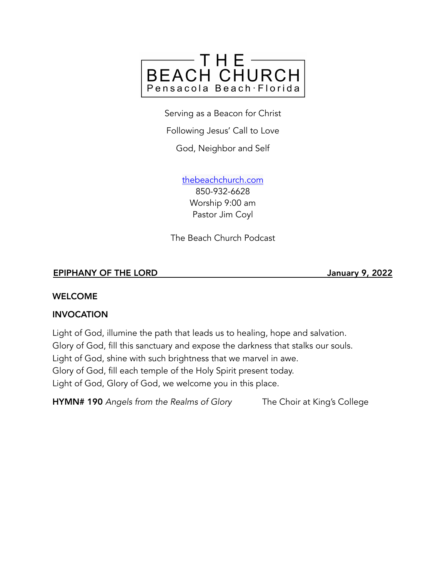

Serving as a Beacon for Christ

Following Jesus' Call to Love

God, Neighbor and Self

[thebeachchurch.com](http://thebeachchurch.com) 850-932-6628 Worship 9:00 am Pastor Jim Coyl

The Beach Church Podcast

## EPIPHANY OF THE LORD January 9, 2022

### WELCOME

### INVOCATION

Light of God, illumine the path that leads us to healing, hope and salvation. Glory of God, fill this sanctuary and expose the darkness that stalks our souls. Light of God, shine with such brightness that we marvel in awe. Glory of God, fill each temple of the Holy Spirit present today. Light of God, Glory of God, we welcome you in this place.

HYMN# 190 *Angels from the Realms of Glory* The Choir at King's College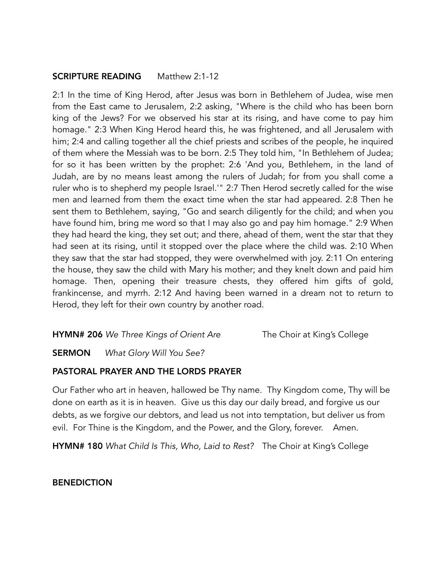### **SCRIPTURE READING** Matthew 2:1-12

2:1 In the time of King Herod, after Jesus was born in Bethlehem of Judea, wise men from the East came to Jerusalem, 2:2 asking, "Where is the child who has been born king of the Jews? For we observed his star at its rising, and have come to pay him homage." 2:3 When King Herod heard this, he was frightened, and all Jerusalem with him; 2:4 and calling together all the chief priests and scribes of the people, he inquired of them where the Messiah was to be born. 2:5 They told him, "In Bethlehem of Judea; for so it has been written by the prophet: 2:6 'And you, Bethlehem, in the land of Judah, are by no means least among the rulers of Judah; for from you shall come a ruler who is to shepherd my people Israel.'" 2:7 Then Herod secretly called for the wise men and learned from them the exact time when the star had appeared. 2:8 Then he sent them to Bethlehem, saying, "Go and search diligently for the child; and when you have found him, bring me word so that I may also go and pay him homage." 2:9 When they had heard the king, they set out; and there, ahead of them, went the star that they had seen at its rising, until it stopped over the place where the child was. 2:10 When they saw that the star had stopped, they were overwhelmed with joy. 2:11 On entering the house, they saw the child with Mary his mother; and they knelt down and paid him homage. Then, opening their treasure chests, they offered him gifts of gold, frankincense, and myrrh. 2:12 And having been warned in a dream not to return to Herod, they left for their own country by another road.

HYMN# 206 *We Three Kings of Orient Are* The Choir at King's College

SERMON *What Glory Will You See?*

# PASTORAL PRAYER AND THE LORDS PRAYER

Our Father who art in heaven, hallowed be Thy name. Thy Kingdom come, Thy will be done on earth as it is in heaven. Give us this day our daily bread, and forgive us our debts, as we forgive our debtors, and lead us not into temptation, but deliver us from evil. For Thine is the Kingdom, and the Power, and the Glory, forever. Amen.

HYMN# 180 *What Child Is This, Who, Laid to Rest?* The Choir at King's College

**BENEDICTION**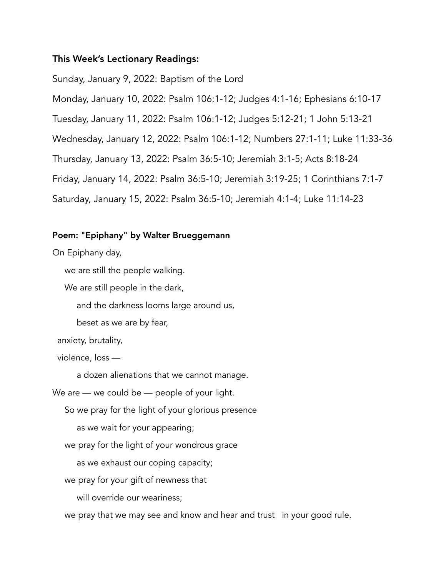## This Week's Lectionary Readings:

Sunday, January 9, 2022: Baptism of the Lord Monday, January 10, 2022: Psalm 106:1-12; Judges 4:1-16; Ephesians 6:10-17 Tuesday, January 11, 2022: Psalm 106:1-12; Judges 5:12-21; 1 John 5:13-21 Wednesday, January 12, 2022: Psalm 106:1-12; Numbers 27:1-11; Luke 11:33-36 Thursday, January 13, 2022: Psalm 36:5-10; Jeremiah 3:1-5; Acts 8:18-24 Friday, January 14, 2022: Psalm 36:5-10; Jeremiah 3:19-25; 1 Corinthians 7:1-7 Saturday, January 15, 2022: Psalm 36:5-10; Jeremiah 4:1-4; Luke 11:14-23

### Poem: "Epiphany" by Walter Brueggemann

On Epiphany day,

we are still the people walking.

We are still people in the dark,

and the darkness looms large around us,

beset as we are by fear,

anxiety, brutality,

violence, loss —

a dozen alienations that we cannot manage.

We are — we could be — people of your light.

So we pray for the light of your glorious presence

as we wait for your appearing;

we pray for the light of your wondrous grace

as we exhaust our coping capacity;

we pray for your gift of newness that

will override our weariness;

we pray that we may see and know and hear and trust in your good rule.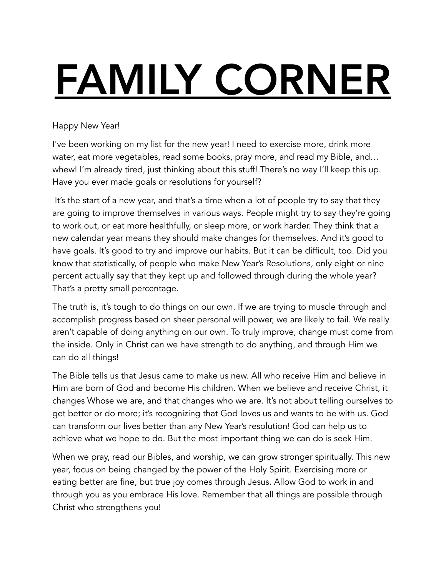# FAMILY CORNER

# Happy New Year!

I've been working on my list for the new year! I need to exercise more, drink more water, eat more vegetables, read some books, pray more, and read my Bible, and… whew! I'm already tired, just thinking about this stuff! There's no way I'll keep this up. Have you ever made goals or resolutions for yourself?

 It's the start of a new year, and that's a time when a lot of people try to say that they are going to improve themselves in various ways. People might try to say they're going to work out, or eat more healthfully, or sleep more, or work harder. They think that a new calendar year means they should make changes for themselves. And it's good to have goals. It's good to try and improve our habits. But it can be difficult, too. Did you know that statistically, of people who make New Year's Resolutions, only eight or nine percent actually say that they kept up and followed through during the whole year? That's a pretty small percentage.

The truth is, it's tough to do things on our own. If we are trying to muscle through and accomplish progress based on sheer personal will power, we are likely to fail. We really aren't capable of doing anything on our own. To truly improve, change must come from the inside. Only in Christ can we have strength to do anything, and through Him we can do all things!

The Bible tells us that Jesus came to make us new. All who receive Him and believe in Him are born of God and become His children. When we believe and receive Christ, it changes Whose we are, and that changes who we are. It's not about telling ourselves to get better or do more; it's recognizing that God loves us and wants to be with us. God can transform our lives better than any New Year's resolution! God can help us to achieve what we hope to do. But the most important thing we can do is seek Him.

When we pray, read our Bibles, and worship, we can grow stronger spiritually. This new year, focus on being changed by the power of the Holy Spirit. Exercising more or eating better are fine, but true joy comes through Jesus. Allow God to work in and through you as you embrace His love. Remember that all things are possible through Christ who strengthens you!